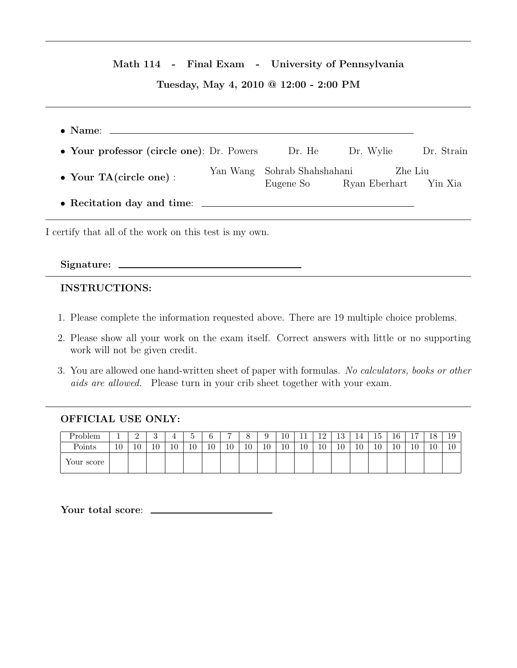## Math 114 - Final Exam - University of Pennsylvania

# Tuesday, May 4, 2010 @ 12:00 - 2:00 PM

| • Your professor (circle one): Dr. Powers |          | Dr. He                          | Dr. Wylie                | Dr. Strain |
|-------------------------------------------|----------|---------------------------------|--------------------------|------------|
| • Your TA(circle one):                    | Yan Wang | Sohrab Shahshahani<br>Eugene So | Zhe Liu<br>Ryan Eberhart | Yin Xia    |
|                                           |          |                                 |                          |            |
|                                           |          |                                 |                          |            |

I certify that all of the work on this test is my own.

#### Signature:

## INSTRUCTIONS:

- 1. Please complete the information requested above. There are 19 multiple choice problems.
- 2. Please show all your work on the exam itself. Correct answers with little or no supporting work will not be given credit.
- 3. You are allowed one hand-written sheet of paper with formulas. No calculators, books or other aids are allowed. Please turn in your crib sheet together with your exam.

## OFFICIAL USE ONLY:

| Problem                    |    | -  | ۰. |              |              | ⌒  | ,                    |              |    | 10 | <b>. .</b> | 10<br>ᆠ | $\Omega$<br>10 | 14                                  | -<br>TЭ | 16 | $\overline{ }$<br><b>.</b> | 1 Q<br>10 | 19                   |
|----------------------------|----|----|----|--------------|--------------|----|----------------------|--------------|----|----|------------|---------|----------------|-------------------------------------|---------|----|----------------------------|-----------|----------------------|
| Points                     | 10 | 10 | 10 | $10^{\circ}$ | $\sim$<br>ΙU | 10 | 1 <sub>0</sub><br>ΠU | $10^{\circ}$ | 10 | 10 | 10         | 10      | 10             | $\overline{1}$ $\overline{0}$<br>πO | 10      | 10 | 10                         | 10        | 1 <sub>0</sub><br>ΙU |
| $\mathbf{v}$<br>Your score |    |    |    |              |              |    |                      |              |    |    |            |         |                |                                     |         |    |                            |           |                      |

Your total score:  $\overline{\phantom{a}}$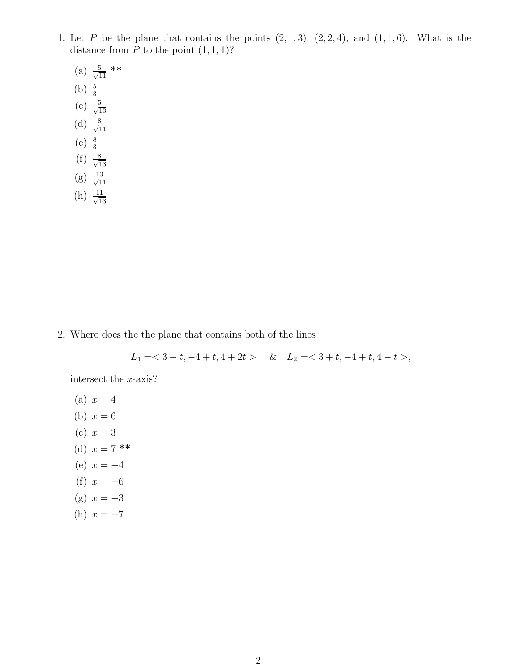- 1. Let P be the plane that contains the points  $(2, 1, 3)$ ,  $(2, 2, 4)$ , and  $(1, 1, 6)$ . What is the distance from  $P$  to the point  $(1, 1, 1)$ ?
	- $(a) \frac{5}{\sqrt{1}}$  $\frac{5}{11}$  \*\* (b)  $\frac{5}{3}$  $(c) \frac{5}{\sqrt{1}}$ 13 (d)  $\frac{8}{\sqrt{1}}$ 11 (e)  $\frac{8}{3}$  $(f) \frac{8}{\sqrt{1}}$ 13  $(g) \frac{13}{\sqrt{1}}$ 11  $(h) \frac{11}{\sqrt{1}}$ 13

2. Where does the the plane that contains both of the lines

$$
L_1 = <3-t, -4+t, 4+2t> \& L_2 = <3+t, -4+t, 4-t>,
$$

intersect the x-axis?

(a) 
$$
x = 4
$$
  
\n(b)  $x = 6$   
\n(c)  $x = 3$   
\n(d)  $x = 7$  \*\*  
\n(e)  $x = -4$   
\n(f)  $x = -6$   
\n(g)  $x = -3$   
\n(h)  $x = -7$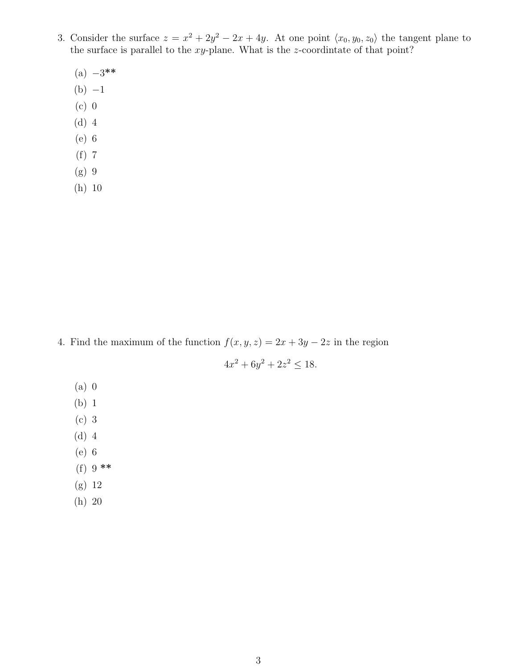- 3. Consider the surface  $z = x^2 + 2y^2 2x + 4y$ . At one point  $\langle x_0, y_0, z_0 \rangle$  the tangent plane to the surface is parallel to the  $xy$ -plane. What is the z-coordintate of that point?
	- $(a) -3$ \*\*
	- $(b) -1$
	- (c) 0
	- (d) 4
	- (e) 6
	- (f) 7
	- (g) 9
	- (h) 10

4. Find the maximum of the function  $f(x, y, z) = 2x + 3y - 2z$  in the region

$$
4x^2 + 6y^2 + 2z^2 \le 18.
$$

- (a) 0
- (b) 1
- (c) 3
- (d) 4
- (e) 6
- (f) 9 \*\*
- (g) 12
- (h) 20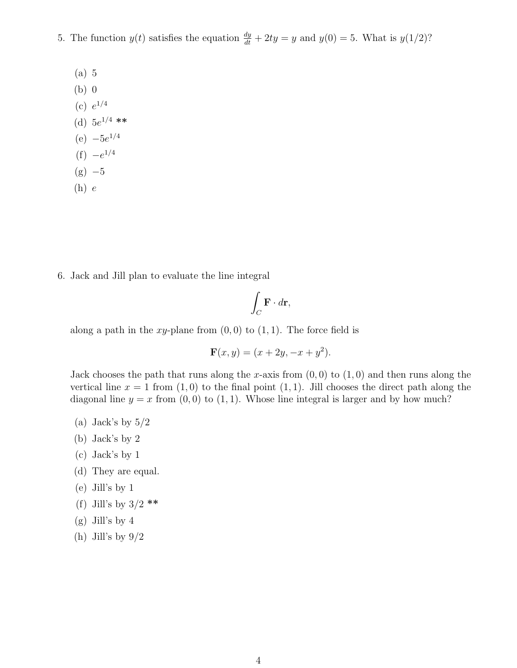- 5. The function  $y(t)$  satisfies the equation  $\frac{dy}{dt} + 2ty = y$  and  $y(0) = 5$ . What is  $y(1/2)$ ?
	- (a) 5
	- (b) 0
	- (c)  $e^{1/4}$
	- (d)  $5e^{1/4}$  \*\*
	- $(e) -5e^{1/4}$
	- $(f) -e^{1/4}$
	- $(g) -5$
	- $(h)$   $e$

6. Jack and Jill plan to evaluate the line integral

$$
\int_C \mathbf{F} \cdot d\mathbf{r},
$$

along a path in the xy-plane from  $(0, 0)$  to  $(1, 1)$ . The force field is

$$
\mathbf{F}(x, y) = (x + 2y, -x + y^2).
$$

Jack chooses the path that runs along the x-axis from  $(0,0)$  to  $(1,0)$  and then runs along the vertical line  $x = 1$  from  $(1, 0)$  to the final point  $(1, 1)$ . Jill chooses the direct path along the diagonal line  $y = x$  from  $(0, 0)$  to  $(1, 1)$ . Whose line integral is larger and by how much?

- (a) Jack's by  $5/2$
- (b) Jack's by 2
- (c) Jack's by 1
- (d) They are equal.
- (e) Jill's by 1
- (f) Jill's by  $3/2$  \*\*
- (g) Jill's by 4
- (h) Jill's by  $9/2$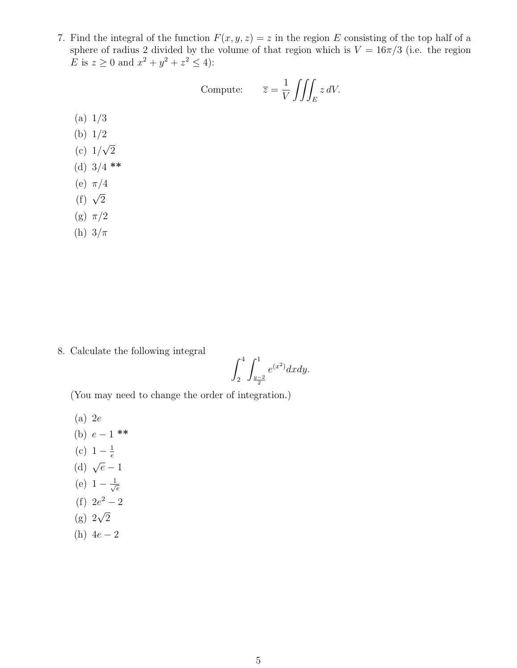7. Find the integral of the function  $F(x, y, z) = z$  in the region E consisting of the top half of a sphere of radius 2 divided by the volume of that region which is  $V = 16\pi/3$  (i.e. the region E is  $z \ge 0$  and  $x^2 + y^2 + z^2 \le 4$ :

Compute: 
$$
\overline{z} = \frac{1}{V} \iiint_E z \, dV.
$$

- (a) 1/3
- (b) 1/2 √
- (c) 1/ 2
- (d)  $3/4$  \*\*
- (e)  $\pi/4$
- (f)  $\sqrt{2}$
- (g)  $\pi/2$
- (h)  $3/\pi$

8. Calculate the following integral

$$
\int_{2}^{4} \int_{\frac{y-2}{2}}^{1} e^{(x^2)} dx dy.
$$

(You may need to change the order of integration.)

- (a) 2e
- (b)  $e-1$  \*\*
- (c)  $1 \frac{1}{e}$ e
- (d)  $\sqrt{e}-1$
- (e)  $1 \frac{1}{\sqrt{2}}$ e
- (f)  $2e^2 2$
- $(g) 2\sqrt{2}$
- (h)  $4e 2$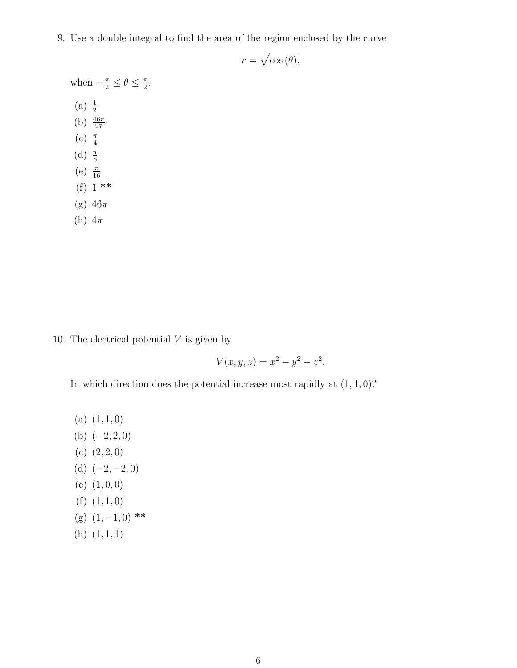9. Use a double integral to find the area of the region enclosed by the curve

 $r = \sqrt{\cos(\theta)},$ 

when  $-\frac{\pi}{2} \leq \theta \leq \frac{\pi}{2}$  $\frac{\pi}{2}$ . (a)  $\frac{1}{2}$ (b)  $\frac{46\pi}{27}$ (c)  $\frac{\pi}{4}$ (d)  $\frac{\pi}{8}$ (e)  $\frac{\pi}{16}$ (f) 1 \*\* (g)  $46\pi$ (h)  $4\pi$ 

10. The electrical potential  $V$  is given by

$$
V(x, y, z) = x^2 - y^2 - z^2.
$$

In which direction does the potential increase most rapidly at  $(1, 1, 0)$ ?

- (a)  $(1, 1, 0)$
- (b)  $(-2, 2, 0)$
- (c)  $(2, 2, 0)$
- (d)  $(-2, -2, 0)$
- (e) (1, 0, 0)
- (f)  $(1, 1, 0)$
- (g)  $(1, -1, 0)$  \*\*
- $(h)$   $(1, 1, 1)$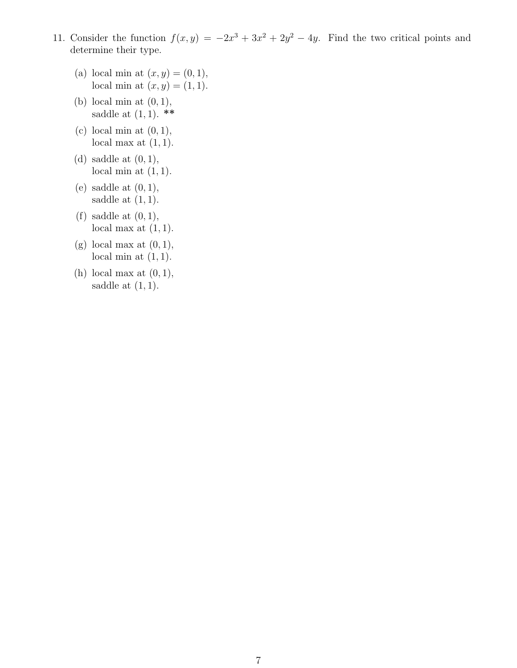- 11. Consider the function  $f(x, y) = -2x^3 + 3x^2 + 2y^2 4y$ . Find the two critical points and determine their type.
	- (a) local min at  $(x, y) = (0, 1)$ , local min at  $(x, y) = (1, 1)$ .
	- (b) local min at  $(0, 1)$ , saddle at  $(1, 1)$ . \*\*
	- (c) local min at  $(0, 1)$ , local max at  $(1, 1)$ .
	- (d) saddle at  $(0, 1)$ , local min at  $(1, 1)$ .
	- (e) saddle at  $(0, 1)$ , saddle at  $(1, 1)$ .
	- (f) saddle at  $(0, 1)$ , local max at  $(1, 1)$ .
	- (g) local max at  $(0, 1)$ , local min at  $(1, 1)$ .
	- (h) local max at  $(0, 1)$ , saddle at  $(1, 1)$ .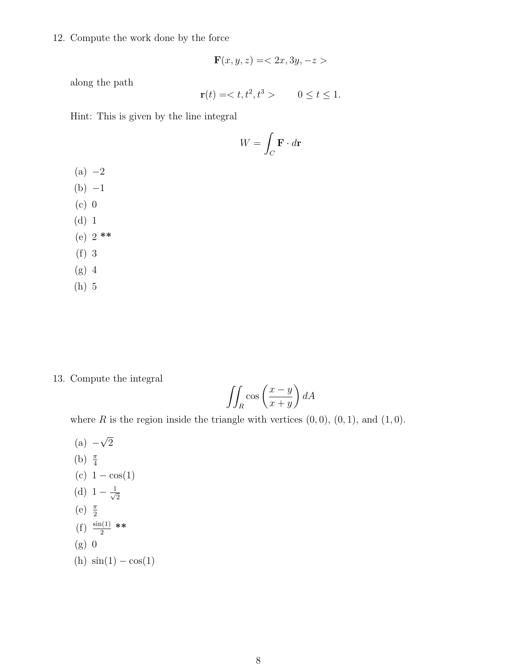12. Compute the work done by the force

$$
\mathbf{F}(x, y, z) = \langle 2x, 3y, -z \rangle
$$

along the path

$$
\mathbf{r}(t) =  \qquad 0 \le t \le 1.
$$

Hint: This is given by the line integral

$$
W = \int_C \mathbf{F} \cdot d\mathbf{r}
$$

- $(a) -2$  $(b) -1$
- (c) 0
- (d) 1
- (e)  $2$  \*\*
- (f) 3
- (g) 4
- (h) 5

#### 13. Compute the integral

$$
\iint_{R} \cos\left(\frac{x-y}{x+y}\right) dA
$$

where R is the region inside the triangle with vertices  $(0, 0)$ ,  $(0, 1)$ , and  $(1, 0)$ .

 $(a) -$ √ 2 (b)  $\frac{\pi}{4}$ (c)  $1 - \cos(1)$ (d)  $1 - \frac{1}{\sqrt{2}}$ 2 (e)  $\frac{\pi}{2}$  $(f) \frac{\sin(1)}{2}$  \*\* (g) 0 (h)  $\sin(1) - \cos(1)$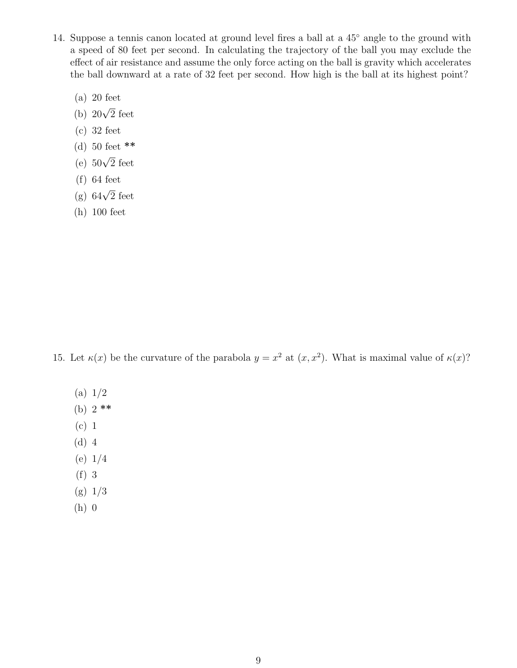- 14. Suppose a tennis canon located at ground level fires a ball at a 45<sup>°</sup> angle to the ground with a speed of 80 feet per second. In calculating the trajectory of the ball you may exclude the effect of air resistance and assume the only force acting on the ball is gravity which accelerates the ball downward at a rate of 32 feet per second. How high is the ball at its highest point?
	- (a) 20 feet
	- (b)  $20\sqrt{2}$  feet
	- (c) 32 feet
	- (d) 50 feet \*\*
	- (e)  $50\sqrt{2}$  feet
	- (f) 64 feet
	- (g)  $64\sqrt{2}$  feet
	- (h) 100 feet

15. Let  $\kappa(x)$  be the curvature of the parabola  $y = x^2$  at  $(x, x^2)$ . What is maximal value of  $\kappa(x)$ ?

- (a) 1/2
- (b)  $2$  \*\*
- (c) 1
- (d) 4
- (e) 1/4
- (f) 3
- (g) 1/3
- (h) 0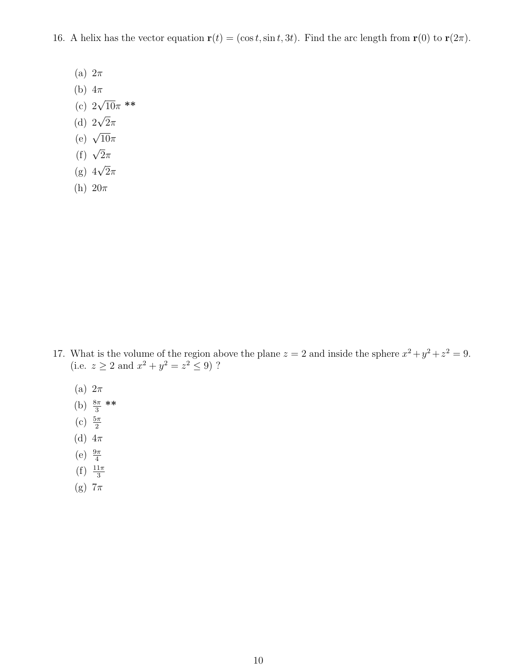16. A helix has the vector equation  $\mathbf{r}(t) = (\cos t, \sin t, 3t)$ . Find the arc length from  $\mathbf{r}(0)$  to  $\mathbf{r}(2\pi)$ .

- (a)  $2\pi$
- (b)  $4\pi$
- (c)  $2\sqrt{10}\pi$  \*\*
- (d)  $2\sqrt{2}\pi$
- (e)  $\sqrt{10}\pi$
- (f)  $\sqrt{2}\pi$
- (g)  $4\sqrt{2}\pi$
- (h)  $20\pi$

- 17. What is the volume of the region above the plane  $z = 2$  and inside the sphere  $x^2 + y^2 + z^2 = 9$ . (i.e.  $z \ge 2$  and  $x^2 + y^2 = z^2 \le 9$ )?
	- (a)  $2\pi$
	- (b)  $\frac{8\pi}{3}$  \*\*
	- (c)  $\frac{5\pi}{2}$
	- (d)  $4\pi$
	-
	- (e)  $\frac{9\pi}{4}$
	- $(f) \frac{11\pi}{3}$
	- (g)  $7\pi$